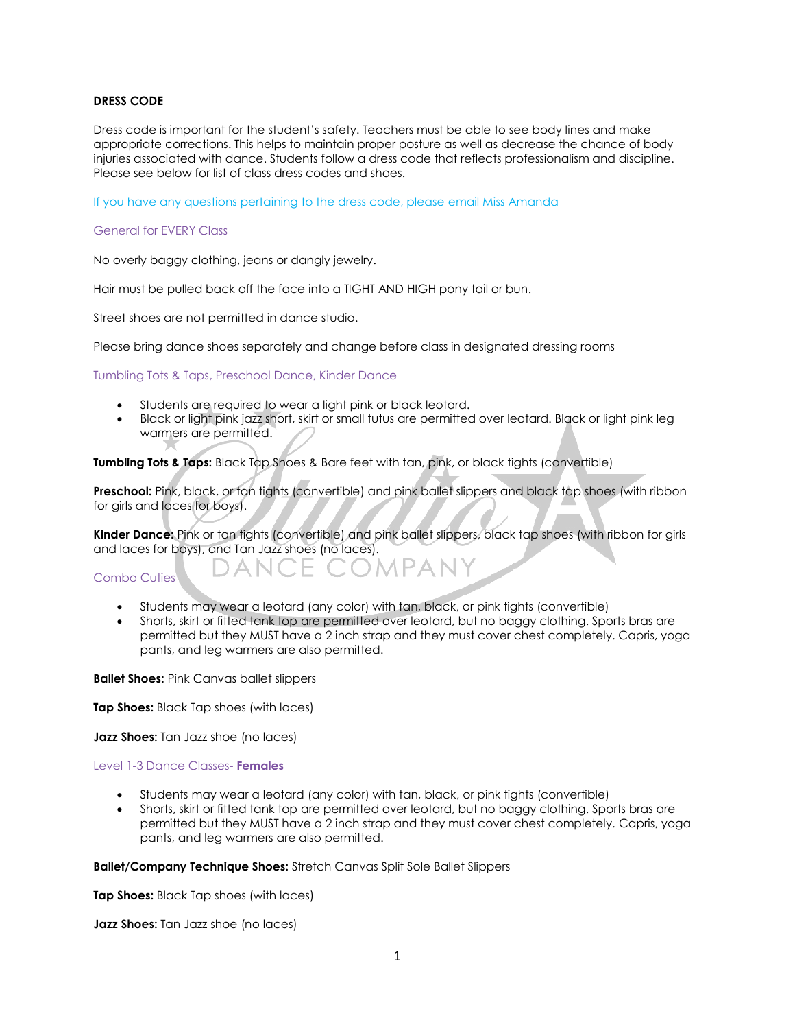## **DRESS CODE**

Dress code is important for the student's safety. Teachers must be able to see body lines and make appropriate corrections. This helps to maintain proper posture as well as decrease the chance of body injuries associated with dance. Students follow a dress code that reflects professionalism and discipline. Please see below for list of class dress codes and shoes.

If you have any questions pertaining to the dress code, please email Miss Amanda

#### General for EVERY Class

No overly baggy clothing, jeans or dangly jewelry.

Hair must be pulled back off the face into a TIGHT AND HIGH pony tail or bun.

Street shoes are not permitted in dance studio.

Please bring dance shoes separately and change before class in designated dressing rooms

Tumbling Tots & Taps, Preschool Dance, Kinder Dance

- Students are required to wear a light pink or black leotard.
- Black or light pink jazz short, skirt or small tutus are permitted over leotard. Black or light pink leg warmers are permitted.

**Tumbling Tots & Taps:** Black Tap Shoes & Bare feet with tan, pink, or black tights (convertible)

**Preschool:** Pink, black, or tan tights (convertible) and pink ballet slippers and black tap shoes (with ribbon for girls and laces for boys).

**Kinder Dance:** Pink or tan tights (convertible) and pink ballet slippers, black tap shoes (with ribbon for girls and laces for boys), and Tan Jazz shoes (no laces).

#### Combo Cuties

- Students may wear a leotard (any color) with tan, black, or pink tights (convertible)
- Shorts, skirt or fitted tank top are permitted over leotard, but no baggy clothing. Sports bras are permitted but they MUST have a 2 inch strap and they must cover chest completely. Capris, yoga pants, and leg warmers are also permitted.

1 P A N Y

**Ballet Shoes:** Pink Canvas ballet slippers

**Tap Shoes:** Black Tap shoes (with laces)

**Jazz Shoes:** Tan Jazz shoe (no laces)

## Level 1-3 Dance Classes- **Females**

- Students may wear a leotard (any color) with tan, black, or pink tights (convertible)
- Shorts, skirt or fitted tank top are permitted over leotard, but no baggy clothing. Sports bras are permitted but they MUST have a 2 inch strap and they must cover chest completely. Capris, yoga pants, and leg warmers are also permitted.

#### **Ballet/Company Technique Shoes:** Stretch Canvas Split Sole Ballet Slippers

**Tap Shoes:** Black Tap shoes (with laces)

**Jazz Shoes:** Tan Jazz shoe (no laces)